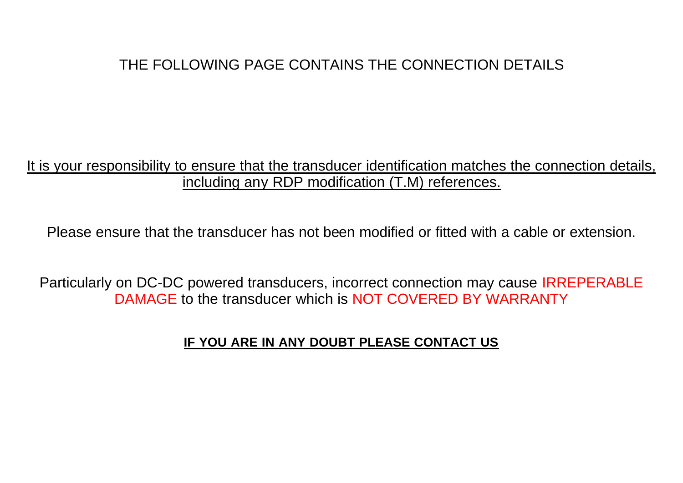## THE FOLLOWING PAGE CONTAINS THE CONNECTION DETAILS

## It is your responsibility to ensure that the transducer identification matches the connection details, including any RDP modification (T.M) references.

Please ensure that the transducer has not been modified or fitted with a cable or extension.

Particularly on DC-DC powered transducers, incorrect connection may cause IRREPERABLE DAMAGE to the transducer which is NOT COVERED BY WARRANTY

## **IF YOU ARE IN ANY DOUBT PLEASE CONTACT US**